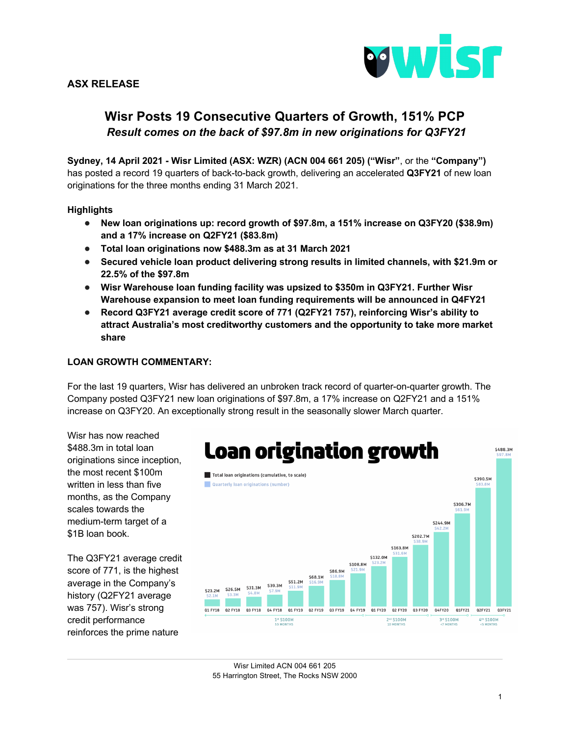

# **ASX RELEASE**

# **Wisr Posts 19 Consecutive Quarters of Growth, 151% PCP** *Result comes on the back of \$97.8m in new originations for Q3FY21*

**Sydney, 14 April 2021 - Wisr Limited (ASX: WZR) (ACN 004 661 205) ("Wisr"**, or the **"Company")** has posted a record 19 quarters of back-to-back growth, delivering an accelerated **Q3FY21** of new loan originations for the three months ending 31 March 2021.

### **Highlights**

- **New loan originations up: record growth of \$97.8m, a 151% increase on Q3FY20 (\$38.9m) and a 17% increase on Q2FY21 (\$83.8m)**
- **Total loan originations now \$488.3m as at 31 March 2021**
- Secured vehicle loan product delivering strong results in limited channels, with \$21.9m or **22.5% of the \$97.8m**
- **Wisr Warehouse loan funding facility was upsized to \$350m in Q3FY21. Further Wisr Warehouse expansion to meet loan funding requirements will be announced in Q4FY21**
- **Record Q3FY21 average credit score of 771 (Q2FY21 757), reinforcing Wisr's ability to attract Australia's most creditworthy customers and the opportunity to take more market share**

### **LOAN GROWTH COMMENTARY:**

For the last 19 quarters, Wisr has delivered an unbroken track record of quarter-on-quarter growth. The Company posted Q3FY21 new loan originations of \$97.8m, a 17% increase on Q2FY21 and a 151% increase on Q3FY20. An exceptionally strong result in the seasonally slower March quarter.

Wisr has now reached \$488.3m in total loan originations since inception, the most recent \$100m written in less than five months, as the Company scales towards the medium-term target of a \$1B loan book.

The Q3FY21 average credit score of 771, is the highest average in the Company's history (Q2FY21 average was 757). Wisr's strong credit performance reinforces the prime nature



Wisr Limited ACN 004 661 205 55 Harrington Street, The Rocks NSW 2000